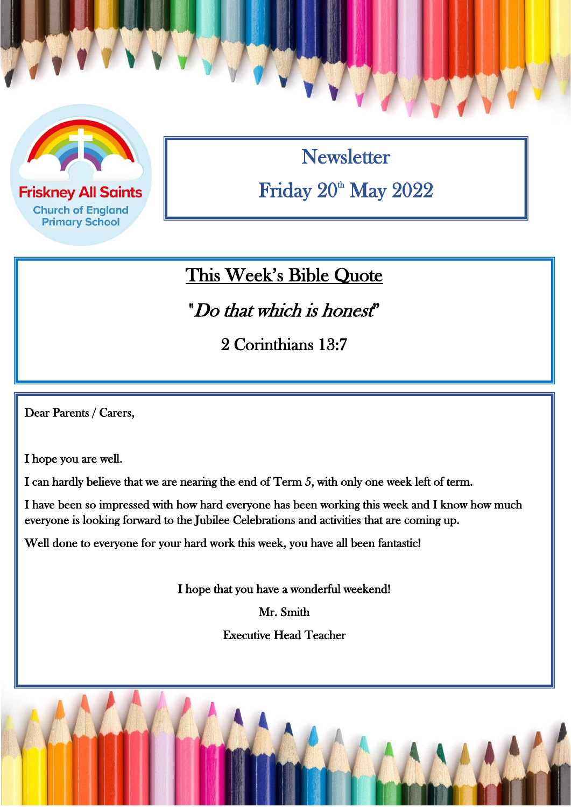

**Friskney All Saints Church of England Primary School** 

**Newsletter** Friday  $20^{\text{th}}$  May  $2022$ 

## This Week's Bible Quote

"Do that which is honest"

2 Corinthians 13:7

 $\overline{a}$ 

Dear Parents / Carers,

I hope you are well.

I can hardly believe that we are nearing the end of Term 5, with only one week left of term.

I have been so impressed with how hard everyone has been working this week and I know how much everyone is looking forward to the Jubilee Celebrations and activities that are coming up.

Well done to everyone for your hard work this week, you have all been fantastic!

I hope that you have a wonderful weekend!

Mr. Smith

Executive Head Teacher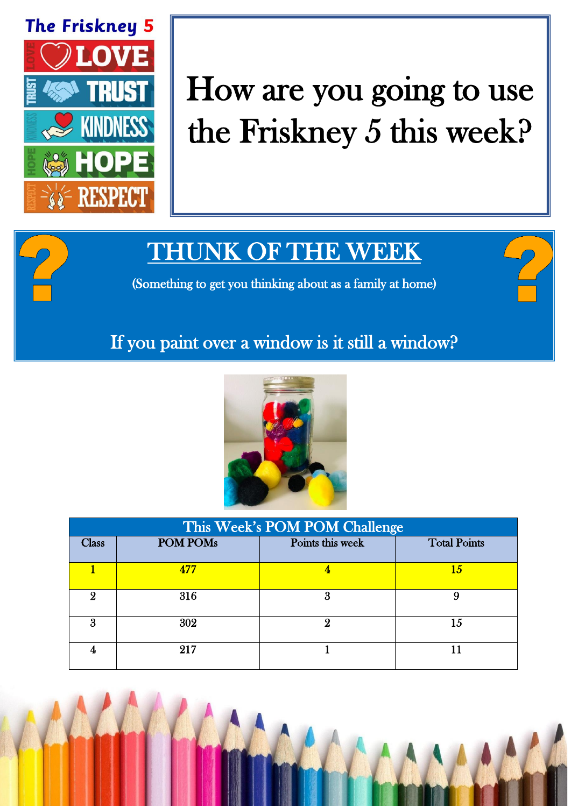

## How are you going to use the Friskney 5 this week?

## THUNK OF THE WEEK

(Something to get you thinking about as a family at home)

## If you paint over a window is it still a window?



| This Week's POM POM Challenge |                 |                  |                     |  |
|-------------------------------|-----------------|------------------|---------------------|--|
| <b>Class</b>                  | <b>POM POMs</b> | Points this week | <b>Total Points</b> |  |
|                               | 477             |                  | 15                  |  |
| 9                             | 316             | 3                | 9                   |  |
| Я                             | 302             | 9                | 15                  |  |
|                               | 217             |                  |                     |  |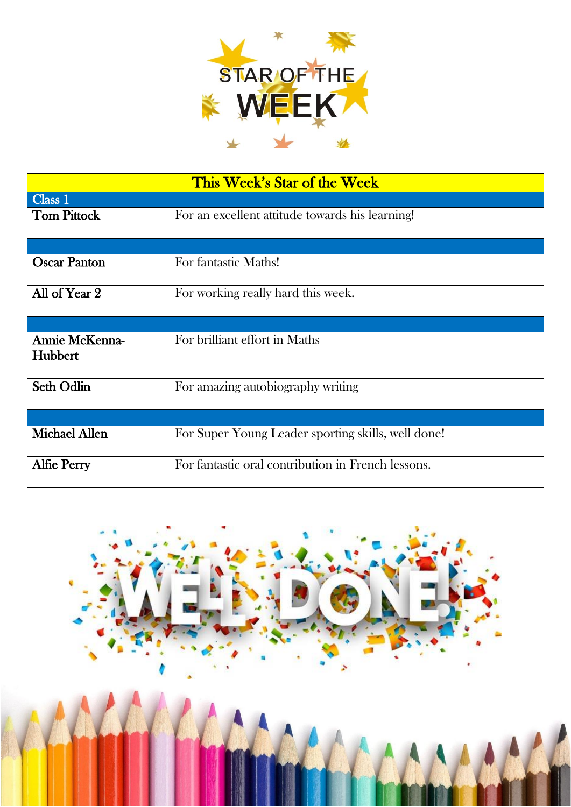

| This Week's Star of the Week     |                                                    |  |  |  |
|----------------------------------|----------------------------------------------------|--|--|--|
| Class 1                          |                                                    |  |  |  |
| <b>Tom Pittock</b>               | For an excellent attitude towards his learning!    |  |  |  |
|                                  |                                                    |  |  |  |
| <b>Oscar Panton</b>              | For fantastic Maths!                               |  |  |  |
| All of Year 2                    | For working really hard this week.                 |  |  |  |
|                                  |                                                    |  |  |  |
| <b>Annie McKenna-</b><br>Hubbert | For brilliant effort in Maths                      |  |  |  |
| <b>Seth Odlin</b>                | For amazing autobiography writing                  |  |  |  |
|                                  |                                                    |  |  |  |
| <b>Michael Allen</b>             | For Super Young Leader sporting skills, well done! |  |  |  |
| <b>Alfie Perry</b>               | For fantastic oral contribution in French lessons. |  |  |  |